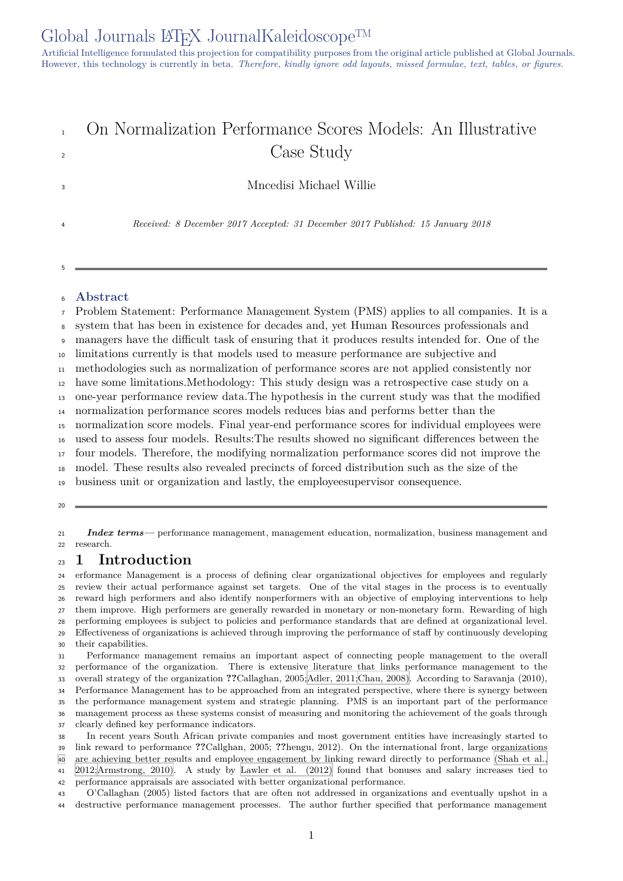# On Normalization Performance Scores Models: An Illustrative <sup>2</sup> Case Study

Mncedisi Michael Willie

*Received: 8 December 2017 Accepted: 31 December 2017 Published: 15 January 2018*

#### **Abstract**

Problem Statement: Performance Management System (PMS) applies to all companies. It is a

system that has been in existence for decades and, yet Human Resources professionals and

managers have the difficult task of ensuring that it produces results intended for. One of the

limitations currently is that models used to measure performance are subjective and

methodologies such as normalization of performance scores are not applied consistently nor

have some limitations.Methodology: This study design was a retrospective case study on a

one-year performance review data.The hypothesis in the current study was that the modified

normalization performance scores models reduces bias and performs better than the

normalization score models. Final year-end performance scores for individual employees were

used to assess four models. Results:The results showed no significant differences between the

four models. Therefore, the modifying normalization performance scores did not improve the

model. These results also revealed precincts of forced distribution such as the size of the

business unit or organization and lastly, the employeesupervisor consequence.

 *Index terms—* performance management, management education, normalization, business management and research.

### **1 Introduction**

 erformance Management is a process of defining clear organizational objectives for employees and regularly review their actual performance against set targets. One of the vital stages in the process is to eventually reward high performers and also identify nonperformers with an objective of employing interventions to help them improve. High performers are generally rewarded in monetary or non-monetary form. Rewarding of high performing employees is subject to policies and performance standards that are defined at organizational level. Effectiveness of organizations is achieved through improving the performance of staff by continuously developing their capabilities.

 Performance management remains an important aspect of connecting people management to the overall performance of the organization. There is extensive literature that links performance management to the overall strategy of the organization **??**Callaghan, 2005;Adler, 2011;Chau, 2008). According to Saravanja (2010), Performance Management has to be approached from an integrated perspective, where there is synergy between the performance management system and strategic planning. PMS is an important part of the performance management process as these systems consist of measuring and monitoring the achievement of the goals through clearly defined key performance indicators.

 In recent years South African private companies a[nd most government enti](#page-6-0)ties have increasingly started to link reward to performance **??**Callghan, 2005; **??**hengu, 2012). On the international front, large organizations are achieving better results and employee engagement by linking reward directly to performance (Shah et al., 2012;Armstrong, 2010). A study by Lawler et al. (2012) found that bonuses and salary increases tied to performance appraisals are associated with better organizational performance.

 O'Callaghan (2005) listed factors that are often not addressed in organizations and eventually upshot in a destructive performance management processes. The author further specified that performance [management](#page-6-0)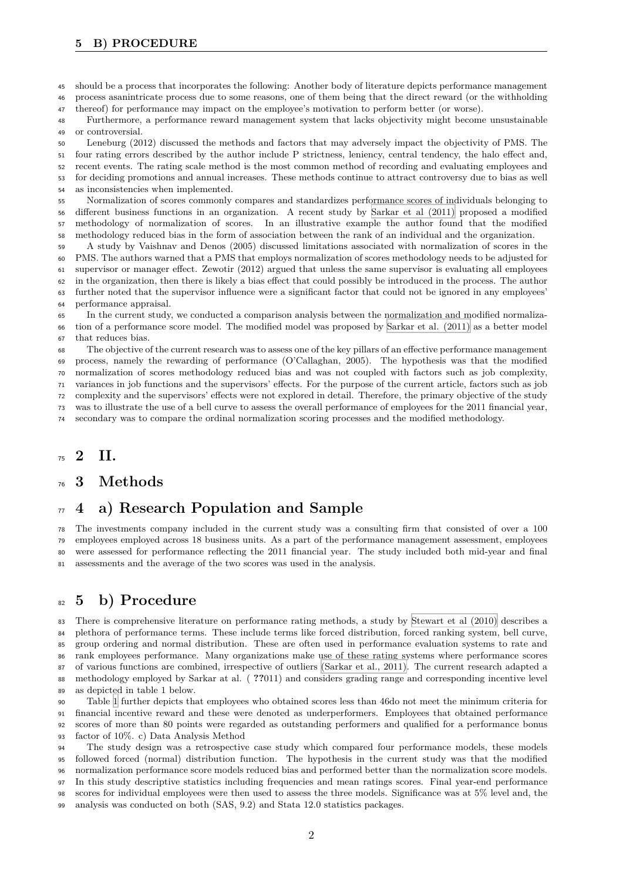- should be a process that incorporates the following: Another body of literature depicts performance management
- process asanintricate process due to some reasons, one of them being that the direct reward (or the withholding thereof) for performance may impact on the employee's motivation to perform better (or worse).

 Furthermore, a performance reward management system that lacks objectivity might become unsustainable or controversial.

 Leneburg (2012) discussed the methods and factors that may adversely impact the objectivity of PMS. The four rating errors described by the author include P strictness, leniency, central tendency, the halo effect and, recent events. The rating scale method is the most common method of recording and evaluating employees and for deciding promotions and annual increases. These methods continue to attract controversy due to bias as well as inconsistencies when implemented.

 Normalization of scores commonly compares and standardizes performance scores of individuals belonging to different business functions in an organization. A recent study by Sarkar et al (2011) proposed a modified methodology of normalization of scores. In an illustrative example the author found that the modified methodology reduced bias in the form of association between the rank of an individual and the organization.

 A study by Vaishnav and Denos (2005) discussed limitations associated with normalization of scores in the PMS. The authors warned that a PMS that employs normalization of s[cores methodology ne](#page-6-0)eds to be adjusted for supervisor or manager effect. Zewotir (2012) argued that unless the same supervisor is evaluating all employees in the organization, then there is likely a bias effect that could possibly be introduced in the process. The author further noted that the supervisor influence were a significant factor that could not be ignored in any employees' performance appraisal.

 In the current study, we conducted a comparison analysis between the normalization and modified normaliza- tion of a performance score model. The modified model was proposed by Sarkar et al. (2011) as a better model that reduces bias.

 The objective of the current research was to assess one of the key pillars of an effective performance management process, namely the rewarding of performance (O'Callaghan, 2005). The hypothesis was that the modified normalization of scores methodology reduced bias and was not coupled [with factors such a](#page-6-0)s job complexity, variances in job functions and the supervisors' effects. For the purpose of the current article, factors such as job complexity and the supervisors' effects were not explored in detail. Therefore, the primary objective of the study was to illustrate the use of a bell curve to assess the overall performance of employees for the 2011 financial year, secondary was to compare the ordinal normalization scoring processes and the modified methodology.

### **2 II.**

#### **3 Methods**

## **4 a) Research Population and Sample**

 The investments company included in the current study was a consulting firm that consisted of over a 100 employees employed across 18 business units. As a part of the performance management assessment, employees were assessed for performance reflecting the 2011 financial year. The study included both mid-year and final assessments and the average of the two scores was used in the analysis.

## **5 b) Procedure**

 There is comprehensive literature on performance rating methods, a study by Stewart et al (2010) describes a plethora of performance terms. These include terms like forced distribution, forced ranking system, bell curve, group ordering and normal distribution. These are often used in performance evaluation systems to rate and rank employees performance. Many organizations make use of these rating systems where performance scores of various functions are combined, irrespective of outliers (Sarkar et al., 2011). [The current research](#page-6-0) adapted a methodology employed by Sarkar at al. ( **??**011) and considers grading range and corresponding incentive level as depicted in table 1 below.

 Table 1 further depicts that employees who obtained scores less than 46do not meet the minimum criteria for financial incentive reward and these were denoted as un[derperformers. Empl](#page-6-0)oyees that obtained performance scores of more than 80 points were regarded as outstanding performers and qualified for a performance bonus factor of 10%. c) Data Analysis Method

 The s[tu](#page-4-0)dy design was a retrospective case study which compared four performance models, these models followed forced (normal) distribution function. The hypothesis in the current study was that the modified normalization performance score models reduced bias and performed better than the normalization score models. In this study descriptive statistics including frequencies and mean ratings scores. Final year-end performance scores for individual employees were then used to assess the three models. Significance was at 5% level and, the analysis was conducted on both (SAS, 9.2) and Stata 12.0 statistics packages.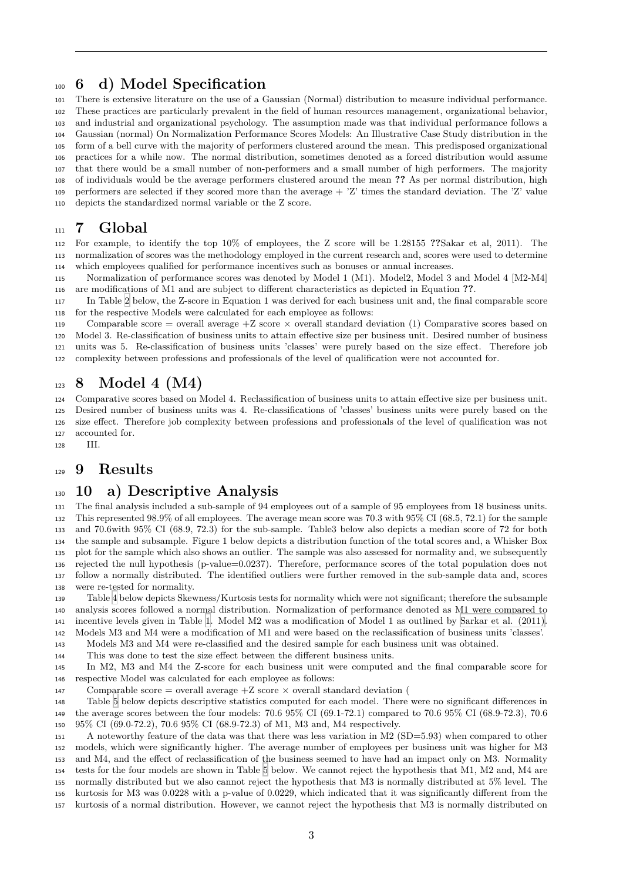## **6 d) Model Specification**

 There is extensive literature on the use of a Gaussian (Normal) distribution to measure individual performance. These practices are particularly prevalent in the field of human resources management, organizational behavior, and industrial and organizational psychology. The assumption made was that individual performance follows a Gaussian (normal) On Normalization Performance Scores Models: An Illustrative Case Study distribution in the form of a bell curve with the majority of performers clustered around the mean. This predisposed organizational practices for a while now. The normal distribution, sometimes denoted as a forced distribution would assume that there would be a small number of non-performers and a small number of high performers. The majority of individuals would be the average performers clustered around the mean **??** As per normal distribution, high performers are selected if they scored more than the average + 'Z' times the standard deviation. The 'Z' value depicts the standardized normal variable or the Z score.

### **7 Global**

 For example, to identify the top 10% of employees, the Z score will be 1.28155 **??**Sakar et al, 2011). The normalization of scores was the methodology employed in the current research and, scores were used to determine which employees qualified for performance incentives such as bonuses or annual increases.

 Normalization of performance scores was denoted by Model 1 (M1). Model2, Model 3 and Model 4 [M2-M4] are modifications of M1 and are subject to different characteristics as depicted in Equation **??**.

 In Table 2 below, the Z-score in Equation 1 was derived for each business unit and, the final comparable score for the respective Models were calculated for each employee as follows:

119 Comparable score = overall average  $+Z$  score  $\times$  overall standard deviation (1) Comparative scores based on Model 3. Re-classification of business units to attain effective size per business unit. Desired number of business units was [5.](#page-4-1) Re-classification of business units 'classes' were purely based on the size effect. Therefore job complexity between professions and professionals of the level of qualification were not accounted for.

## **8 Model 4 (M4)**

 Comparative scores based on Model 4. Reclassification of business units to attain effective size per business unit. Desired number of business units was 4. Re-classifications of 'classes' business units were purely based on the size effect. Therefore job complexity between professions and professionals of the level of qualification was not accounted for.

III.

### **9 Results**

## **10 a) Descriptive Analysis**

 The final analysis included a sub-sample of 94 employees out of a sample of 95 employees from 18 business units. This represented 98.9% of all employees. The average mean score was 70.3 with 95% CI (68.5, 72.1) for the sample and 70.6with 95% CI (68.9, 72.3) for the sub-sample. Table3 below also depicts a median score of 72 for both the sample and subsample. Figure 1 below depicts a distribution function of the total scores and, a Whisker Box plot for the sample which also shows an outlier. The sample was also assessed for normality and, we subsequently rejected the null hypothesis (p-value=0.0237). Therefore, performance scores of the total population does not follow a normally distributed. The identified outliers were further removed in the sub-sample data and, scores were re-tested for normality.

 Table 4 below depicts Skewness/Kurtosis tests for normality which were not significant; therefore the subsample analysis scores followed a normal distribution. Normalization of performance denoted as M1 were compared to incentive levels given in Table 1. Model M2 was a modification of Model 1 as outlined by Sarkar et al. (2011). Models M3 and M4 were a modification of M1 and were based on the reclassification of business units 'classes'.

Mode[ls](#page-5-0) M3 and M4 were re-classified and the desired sample for each business unit was obtained.

This was done to test the size effect between the different business units.

 In M2, M3 and M4 the Z-[sc](#page-4-0)ore for each business unit were computed and the final [comparable score for](#page-6-0) respective Model was calculated for each employee as follows:

147 Comparable score = overall average  $+Z$  score  $\times$  overall standard deviation (

 Table 5 below depicts descriptive statistics computed for each model. There were no significant differences in the average scores between the four models: 70.6 95% CI (69.1-72.1) compared to 70.6 95% CI (68.9-72.3), 70.6 95% CI (69.0-72.2), 70.6 95% CI (68.9-72.3) of M1, M3 and, M4 respectively.

 A noteworthy feature of the data was that there was less variation in M2 (SD=5.93) when compared to other models, [wh](#page-5-1)ich were significantly higher. The average number of employees per business unit was higher for M3 and M4, and the effect of reclassification of the business seemed to have had an impact only on M3. Normality tests for the four models are shown in Table 5 below. We cannot reject the hypothesis that M1, M2 and, M4 are normally distributed but we also cannot reject the hypothesis that M3 is normally distributed at 5% level. The kurtosis for M3 was 0.0228 with a p-value of 0.0229, which indicated that it was significantly different from the kurtosis of a normal distribution. However, we cannot reject the hypothesis that M3 is normally distributed on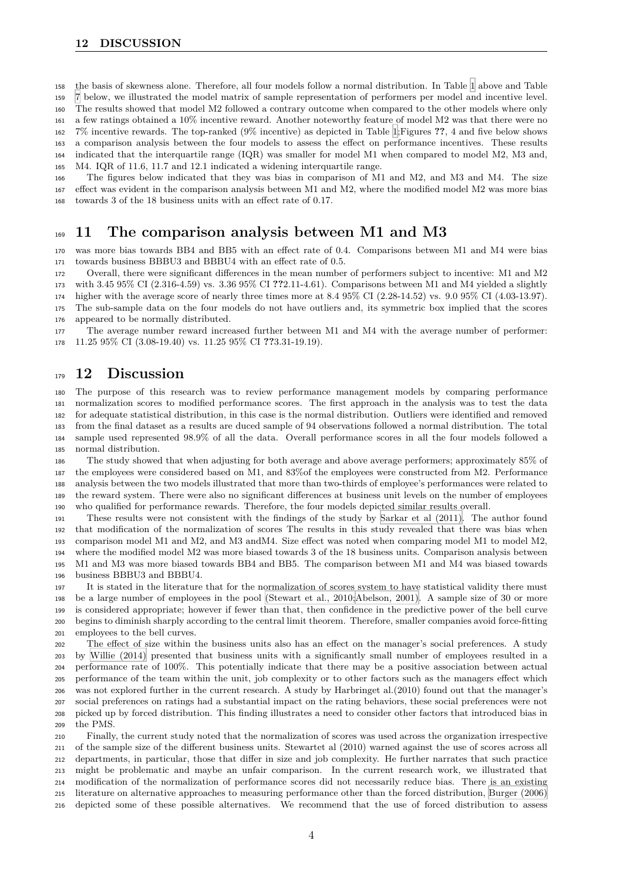- the basis of skewness alone. Therefore, all four models follow a normal distribution. In Table 1 above and Table
- 7 below, we illustrated the model matrix of sample representation of performers per model and incentive level.
- The results showed that model M2 followed a contrary outcome when compared to the other models where only

 a few ratings obtained a 10% incentive reward. Another noteworthy feature of model M2 was that there were no 7% incentive rewards. The top-ranked (9% incentive) as depicted in Table 1;Figures **??**, 4 an[d](#page-4-0) five below shows [a](#page-5-2) comparison analysis between the four models to assess the effect on performance incentives. These results indicated that the interquartile range (IQR) was smaller for model M1 when compared to model M2, M3 and,

M4. IQR of 11.6, 11.7 and 12.1 indicated a widening interquartile range.

 The figures below indicated that they was bias in comparison of M1 and M2, and M3 and M4. The size effect was evident in the comparison analysis between M1 and M2, where t[he](#page-4-0) modified model M2 was more bias towards 3 of the 18 business units with an effect rate of 0.17.

### **11 The comparison analysis between M1 and M3**

 was more bias towards BB4 and BB5 with an effect rate of 0.4. Comparisons between M1 and M4 were bias towards business BBBU3 and BBBU4 with an effect rate of 0.5.

Overall, there were significant differences in the mean number of performers subject to incentive: M1 and M2

 with 3.45 95% CI (2.316-4.59) vs. 3.36 95% CI **??**2.11-4.61). Comparisons between M1 and M4 yielded a slightly higher with the average score of nearly three times more at 8.4 95% CI (2.28-14.52) vs. 9.0 95% CI (4.03-13.97).

The sub-sample data on the four models do not have outliers and, its symmetric box implied that the scores

appeared to be normally distributed.

 The average number reward increased further between M1 and M4 with the average number of performer: 11.25 95% CI (3.08-19.40) vs. 11.25 95% CI **??**3.31-19.19).

#### **12 Discussion**

 The purpose of this research was to review performance management models by comparing performance normalization scores to modified performance scores. The first approach in the analysis was to test the data for adequate statistical distribution, in this case is the normal distribution. Outliers were identified and removed from the final dataset as a results are duced sample of 94 observations followed a normal distribution. The total sample used represented 98.9% of all the data. Overall performance scores in all the four models followed a normal distribution.

 The study showed that when adjusting for both average and above average performers; approximately 85% of the employees were considered based on M1, and 83%of the employees were constructed from M2. Performance analysis between the two models illustrated that more than two-thirds of employee's performances were related to the reward system. There were also no significant differences at business unit levels on the number of employees who qualified for performance rewards. Therefore, the four models depicted similar results overall.

 These results were not consistent with the findings of the study by Sarkar et al (2011). The author found that modification of the normalization of scores The results in this study revealed that there was bias when comparison model M1 and M2, and M3 andM4. Size effect was noted when comparing model M1 to model M2, where the modified model M2 was more biased towards 3 of the 18 business units. Comparison analysis between M1 and M3 was more biased towards BB4 and BB5. The comparison [between M1 and M4](#page-6-0) was biased towards business BBBU3 and BBBU4.

 It is stated in the literature that for the normalization of scores system to have statistical validity there must be a large number of employees in the pool (Stewart et al., 2010;Abelson, 2001). A sample size of 30 or more is considered appropriate; however if fewer than that, then confidence in the predictive power of the bell curve begins to diminish sharply according to the central limit theorem. Therefore, smaller companies avoid force-fitting employees to the bell curves.

 The effect of size within the business uni[ts also has an effect on the manager](#page-6-0)'s social preferences. A study by Willie (2014) presented that business units with a significantly small number of employees resulted in a performance rate of 100%. This potentially indicate that there may be a positive association between actual performance of the team within the unit, job complexity or to other factors such as the managers effect which was not explored further in the current research. A study by Harbringet al.(2010) found out that the manager's soc[ial preferences](#page-6-0) on ratings had a substantial impact on the rating behaviors, these social preferences were not picked up by forced distribution. This finding illustrates a need to consider other factors that introduced bias in the PMS.

 Finally, the current study noted that the normalization of scores was used across the organization irrespective of the sample size of the different business units. Stewartet al (2010) warned against the use of scores across all departments, in particular, those that differ in size and job complexity. He further narrates that such practice might be problematic and maybe an unfair comparison. In the current research work, we illustrated that modification of the normalization of performance scores did not necessarily reduce bias. There is an existing literature on alternative approaches to measuring performance other than the forced distribution, Burger (2006) depicted some of these possible alternatives. We recommend that the use of forced distribution to assess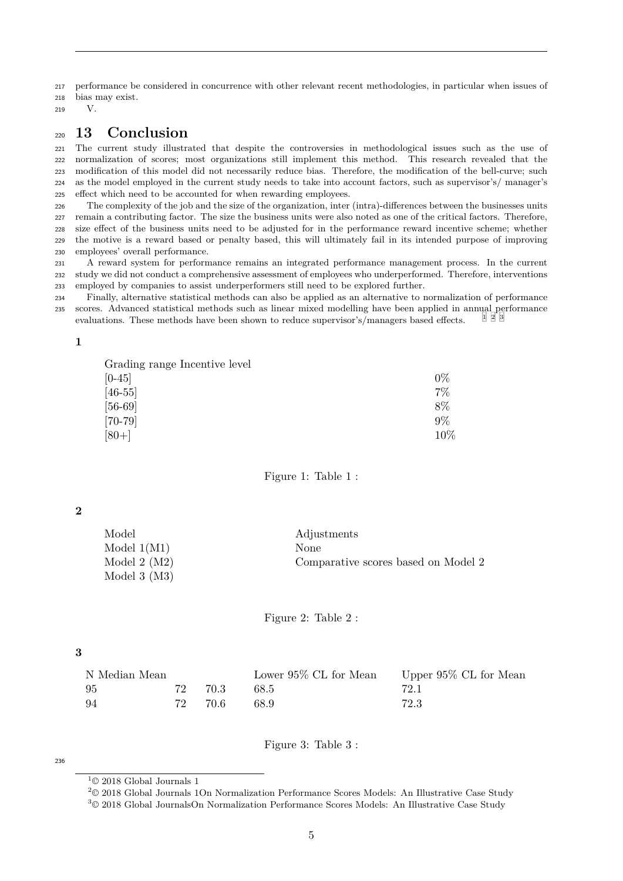performance be considered in concurrence with other relevant recent methodologies, in particular when issues of

- bias may exist.
- V.

### **13 Conclusion**

 The current study illustrated that despite the controversies in methodological issues such as the use of normalization of scores; most organizations still implement this method. This research revealed that the modification of this model did not necessarily reduce bias. Therefore, the modification of the bell-curve; such as the model employed in the current study needs to take into account factors, such as supervisor's/ manager's effect which need to be accounted for when rewarding employees.

 The complexity of the job and the size of the organization, inter (intra)-differences between the businesses units remain a contributing factor. The size the business units were also noted as one of the critical factors. Therefore, size effect of the business units need to be adjusted for in the performance reward incentive scheme; whether the motive is a reward based or penalty based, this will ultimately fail in its intended purpose of improving employees' overall performance.

 A reward system for performance remains an integrated performance management process. In the current study we did not conduct a comprehensive assessment of employees who underperformed. Therefore, interventions employed by companies to assist underperformers still need to be explored further.

 Finally, alternative statistical methods can also be applied as an alternative to normalization of performance scores. Advanced statistical methods such as linear mixed modelling have been applied in annual performance evaluations. These methods have been shown to reduce supervisor's/managers based effects.

#### 

| Grading range Incentive level |        |
|-------------------------------|--------|
| $[0-45]$                      | $0\%$  |
| $[46-55]$                     | 7%     |
| $[56-69]$                     | 8%     |
| $[70 - 79]$                   | 9%     |
| $[80+]$                       | $10\%$ |

<span id="page-4-0"></span>Figure 1: Table 1 :

#### 

| Model            | Adjustments                         |
|------------------|-------------------------------------|
| Model $1(M1)$    | <b>None</b>                         |
| Model 2 $(M2)$   | Comparative scores based on Model 2 |
| Model $3 \ (M3)$ |                                     |

<span id="page-4-1"></span>Figure 2: Table 2 :

#### 

| N Median Mean |    |         | Lower $95\%$ CL for Mean Upper $95\%$ CL for Mean |      |
|---------------|----|---------|---------------------------------------------------|------|
| -95           |    | 72 70.3 | 68.5                                              | 72.1 |
| -94           | 72 | 70.6    | 68.9                                              | 72.3 |

Figure 3: Table 3 :

#### 

 $1^{\circ}$  2018 Global Journals 1

© 2018 Global Journals 1On Normalization Performance Scores Models: An Illustrative Case Study

© 2018 Global JournalsOn Normalization Performance Scores Models: An Illustrative Case Study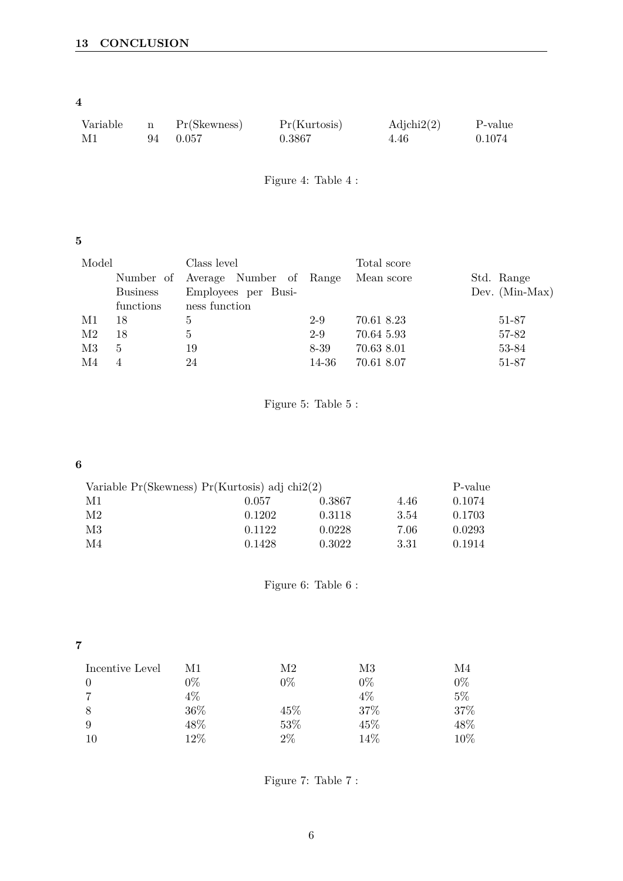**4**

| Variable | Pr(Skewness) | Pr(Kurtosis) | $\text{Adjchi2}(2)$ | P-value |
|----------|--------------|--------------|---------------------|---------|
| M1       | 94 0.057     | 0.3867       | 4.46                | 0.1074  |

<span id="page-5-0"></span>Figure 4: Table 4 :

## **5**

| Model |                 | Class level                       |         | Total score |                  |
|-------|-----------------|-----------------------------------|---------|-------------|------------------|
|       |                 | Number of Average Number of Range |         | Mean score  | Std. Range       |
|       | <b>Business</b> | Employees per Busi-               |         |             | Dev. $(Min-Max)$ |
|       | functions       | ness function                     |         |             |                  |
| M1    | 18              | 5                                 | $2 - 9$ | 70.61 8.23  | 51-87            |
| M2    | 18              | 5                                 | $2 - 9$ | 70.64 5.93  | 57-82            |
| M3    | 5               | 19                                | 8-39    | 70.63 8.01  | 53-84            |
| M4    | 4               | 24                                | 14-36   | 70.61 8.07  | 51-87            |

<span id="page-5-1"></span>Figure 5: Table 5 :

### **6**

| Variable $Pr(Skewness) Pr(Kurtosis)$ adj chi $2(2)$ |        |        |      |        |
|-----------------------------------------------------|--------|--------|------|--------|
| M1                                                  | 0.057  | 0.3867 | 4.46 | 0.1074 |
| M2                                                  | 0.1202 | 0.3118 | 3.54 | 0.1703 |
| M3                                                  | 0.1122 | 0.0228 | 7.06 | 0.0293 |
| M4                                                  | 0.1428 | 0.3022 | 3.31 | 0.1914 |

Figure 6: Table 6 :

| ı<br>z |  |
|--------|--|
|        |  |
|        |  |
|        |  |

| Incentive Level | M1     | M2    | M3    | M4     |
|-----------------|--------|-------|-------|--------|
| $\theta$        | $0\%$  | $0\%$ | $0\%$ | $0\%$  |
| $\overline{7}$  | $4\%$  |       | 4%    | $5\%$  |
| 8               | $36\%$ | 45%   | 37%   | 37%    |
| 9               | 48%    | 53%   | 45%   | 48%    |
| 10              | 12%    | $2\%$ | 14\%  | $10\%$ |

<span id="page-5-2"></span>Figure 7: Table 7 :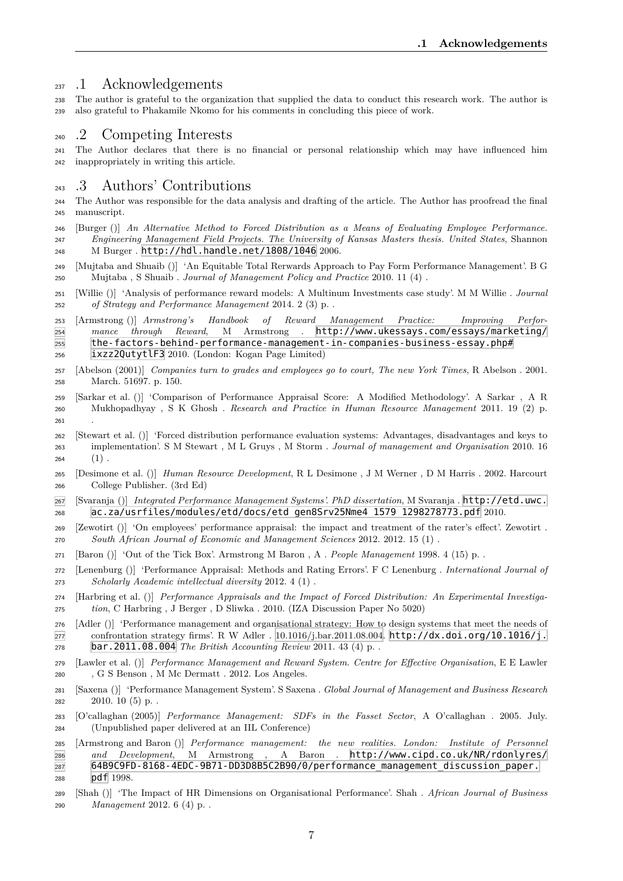#### <sup>237</sup> .1 Acknowledgements

 The author is grateful to the organization that supplied the data to conduct this research work. The author is also grateful to Phakamile Nkomo for his comments in concluding this piece of work.

### .2 Competing Interests

 The Author declares that there is no financial or personal relationship which may have influenced him inappropriately in writing this article.

#### .3 Authors' Contributions

 The Author was responsible for the data analysis and drafting of the article. The Author has proofread the final manuscript.

<span id="page-6-0"></span> [Burger ()] *An Alternative Method to Forced Distribution as a Means of Evaluating Employee Performance. Engineering Management Field Projects. The University of Kansas Masters thesis. United States*, Shannon M Burger . http://hdl.handle.net/1808/1046 2006.

 [Mujtaba and Shuaib ()] 'An Equitable Total Rerwards Approach to Pay Form Performance Management'. B G Mujtaba , S Shuaib . *Journal of Management Policy and Practice* 2010. 11 (4) .

 [Willie ()] 'Analysis of performance reward models: A Multinum Investments case study'. M M Willie . *Journal of Strategy [and Performance Management](http://hdl.handle.net/1808/1046)* 2014. 2 (3) p. .

 [Armstrong ()] *Armstrong's Handbook of Reward Management Practice: Improving Perfor- mance through Reward*, M Armstrong . http://www.ukessays.com/essays/marketing/ the-factors-behind-performance-management-in-companies-business-essay.php#

- ixzz2QutytlF3 2010. (London: Kogan Page Limited)
- [Abelson (2001)] *Companies turn to grades and employees go to court, The new York Times*, R Abelson . 2001. March. 51697. p. 150.
- [Sarkar et al. ()] ['Comparison of Performance Appraisal Score: A Modified Methodology'. A Sarkar](http://www.ukessays.com/essays/marketing/the-factors-behind-performance-management-in-companies-business-essay.php#ixzz2QutytlF3) , A R [Mukhopadhyay ,](http://www.ukessays.com/essays/marketing/the-factors-behind-performance-management-in-companies-business-essay.php#ixzz2QutytlF3) S K Ghosh . *Research and Practice in Human Resource Management* 2011. 19 (2) p.
- [Stewart et al. ()] 'Forced distribution performance evaluation systems: Advantages, disadvantages and keys to implementation'. S M Stewart , M L Gruys , M Storm . *Journal of management and Organisation* 2010. 16 264  $(1)$ .
- [Desimone et al. ()] *Human Resource Development*, R L Desimone , J M Werner , D M Harris . 2002. Harcourt College Publisher. (3rd Ed)

 [Svaranja ()] *Integrated Performance Management Systems'. PhD dissertation*, M Svaranja . http://etd.uwc. ac.za/usrfiles/modules/etd/docs/etd\_gen8Srv25Nme4\_1579\_1298278773.pdf 2010.

[Zewotirt ()] 'On employees' performance appraisal: the impact and treatment of the rater's effect'. Zewotirt .

- *South African Journal of Economic and Management Sciences* 2012. 2012. 15 (1) .
- [Baron ()] 'Out of the Tick Box'. Armstrong M Baron , A . *People Management* 1998. 4 (1[5\) p. .](http://etd.uwc.ac.za/usrfiles/modules/etd/docs/etd_gen8Srv25Nme4_1579_1298278773.pdf)
- [Lenenburg ()] ['Performance Appraisal: Methods and Rating Errors'. F C Lenenburg .](http://etd.uwc.ac.za/usrfiles/modules/etd/docs/etd_gen8Srv25Nme4_1579_1298278773.pdf) *International Journal of Scholarly Academic intellectual diversity* 2012. 4 (1) .
- [Harbring et al. ()] *Performance Appraisals and the Impact of Forced Distribution: An Experimental Investiga-tion*, C Harbring , J Berger , D Sliwka . 2010. (IZA Discussion Paper No 5020)

 [Adler ()] 'Performance management and organisational strategy: How to design systems that meet the needs of confrontation strategy firms'. R W Adler . 10.1016/j.bar.2011.08.004. http://dx.doi.org/10.1016/j. bar.2011.08.004 *The British Accounting Review* 2011. 43 (4) p. .

- [Lawler et al. ()] *Performance Management and Reward System. Centre for Effective Organisation*, E E Lawler , G S Benson , M Mc Dermatt . 2012. Los Angeles.
- [Saxena ()] 'Performance Management System'. S Saxena . *[Global Journal of Management and Business Research](http://dx.doi.org/10.1016/j.bar.2011.08.004)* [2010. 10 \(5\) p. .](http://dx.doi.org/10.1016/j.bar.2011.08.004)
- [O'callaghan (2005)] *Performance Management: SDFs in the Fasset Sector*, A O'callaghan . 2005. July. (Unpublished paper delivered at an IIL Conference)
- [Armstrong and Baron ()] *Performance management: the new realities. London: Institute of Personnel and Development*, M Armstrong , A Baron . http://www.cipd.co.uk/NR/rdonlyres/ 64B9C9FD-8168-4EDC-9B71-DD3D8B5C2B90/0/performance\_management\_discussion\_paper. pdf 1998.
- [Shah ()] 'The Impact of HR Dimensions on Organisational Performance'. Shah . *African Journal of Business Management* 2012. 6 (4) p. .